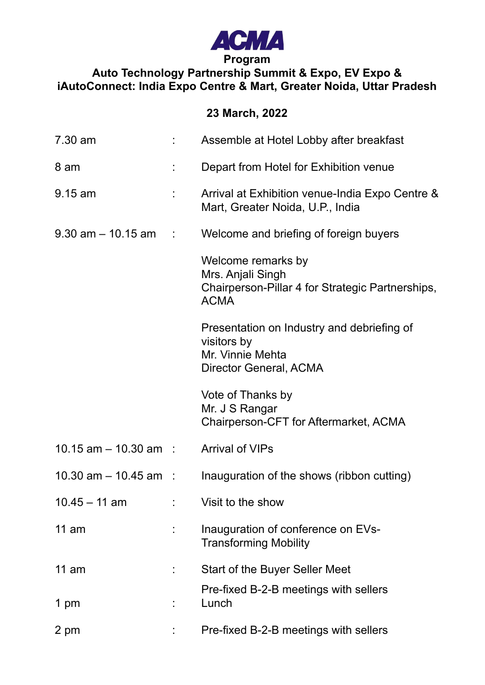

## **Auto Technology Partnership Summit & Expo, EV Expo & iAutoConnect: India Expo Centre & Mart, Greater Noida, Uttar Pradesh**

## **23 March, 2022**

| 7.30 am                  | Assemble at Hotel Lobby after breakfast                                                                    |
|--------------------------|------------------------------------------------------------------------------------------------------------|
| 8 am                     | Depart from Hotel for Exhibition venue                                                                     |
| $9.15$ am                | Arrival at Exhibition venue-India Expo Centre &<br>Mart, Greater Noida, U.P., India                        |
| $9.30$ am $-10.15$ am :  | Welcome and briefing of foreign buyers                                                                     |
|                          | Welcome remarks by<br>Mrs. Anjali Singh<br>Chairperson-Pillar 4 for Strategic Partnerships,<br><b>ACMA</b> |
|                          | Presentation on Industry and debriefing of<br>visitors by<br>Mr. Vinnie Mehta<br>Director General, ACMA    |
|                          | Vote of Thanks by<br>Mr. J S Rangar<br>Chairperson-CFT for Aftermarket, ACMA                               |
| $10.15$ am $-10.30$ am : | <b>Arrival of VIPs</b>                                                                                     |
| 10.30 $am - 10.45 am$ :  | Inauguration of the shows (ribbon cutting)                                                                 |
| $10.45 - 11$ am          | Visit to the show                                                                                          |
| 11 am                    | Inauguration of conference on EVs-<br><b>Transforming Mobility</b>                                         |
| $11$ am                  | <b>Start of the Buyer Seller Meet</b>                                                                      |
| 1 pm                     | Pre-fixed B-2-B meetings with sellers<br>Lunch                                                             |
| 2 pm                     | Pre-fixed B-2-B meetings with sellers                                                                      |